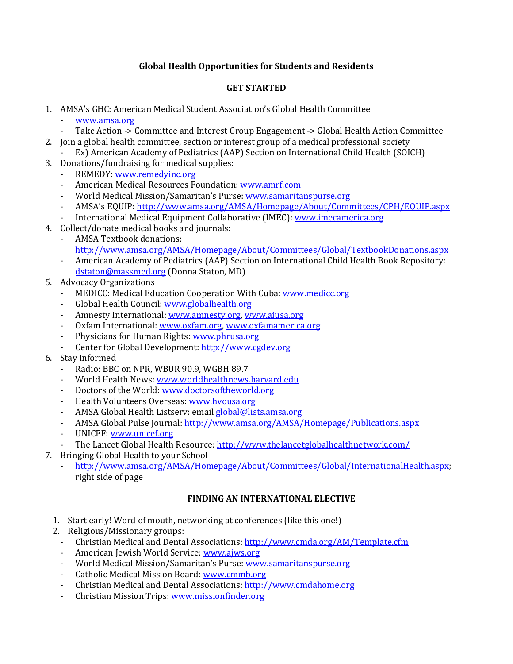## **Global Health Opportunities for Students and Residents**

#### **GET STARTED**

- 1. AMSA's GHC: American Medical Student Association's Global Health Committee
	- [www.amsa.org](http://www.amsa.org/)
	- Take Action -> Committee and Interest Group Engagement -> Global Health Action Committee
- 2. Join a global health committee, section or interest group of a medical professional society Ex) American Academy of Pediatrics (AAP) Section on International Child Health (SOICH)
- 3. Donations/fundraising for medical supplies:
	- REMEDY[: www.remedyinc.org](http://www.remedyinc.org/)
	- American Medical Resources Foundation: [www.amrf.com](http://www.amrf.com/)
	- World Medical Mission/Samaritan's Purse: [www.samaritanspurse.org](http://www.samaritanspurse.org/)
	- AMSA's EQUIP: <http://www.amsa.org/AMSA/Homepage/About/Committees/CPH/EQUIP.aspx>
	- International Medical Equipment Collaborative (IMEC): [www.imecamerica.org](http://www.imecamerica.org/)
- 4. Collect/donate medical books and journals:
	- AMSA Textbook donations: <http://www.amsa.org/AMSA/Homepage/About/Committees/Global/TextbookDonations.aspx>
	- American Academy of Pediatrics (AAP) Section on International Child Health Book Repository: [dstaton@massmed.org](mailto:dstaton@massmed.org) (Donna Staton, MD)
- 5. Advocacy Organizations
	- MEDICC: Medical Education Cooperation With Cuba[: www.medicc.org](http://www.medicc.org/)
	- Global Health Council: [www.globalhealth.org](http://www.globalhealth.org/)
	- Amnesty International: [www.amnesty.org,](http://www.amnesty.org/) [www.aiusa.org](http://www.aiusa.org/)
	- Oxfam International: [www.oxfam.org,](http://www.oxfam.org/) [www.oxfamamerica.org](http://www.oxfamamerica.org/)
	- Physicians for Human Rights: [www.phrusa.org](http://www.phrusa.org/)
	- Center for Global Development[: http://www.cgdev.org](http://www.cgdev.org/)
- 6. Stay Informed
	- Radio: BBC on NPR, WBUR 90.9, WGBH 89.7
	- World Health News: [www.worldhealthnews.harvard.edu](http://www.worldhealthnews.harvard.edu/)
	- Doctors of the World[: www.doctorsoftheworld.org](http://www.doctorsoftheworld.org/)
	- Health Volunteers Overseas[: www.hvousa.org](http://www.hvousa.org/)
	- AMSA Global Health Listserv: emai[l global@lists.amsa.org](mailto:global@lists.amsa.org)
	- AMSA Global Pulse Journal:<http://www.amsa.org/AMSA/Homepage/Publications.aspx>
	- UNICEF: [www.unicef.org](http://www.unicef.org/)
	- The Lancet Global Health Resource:<http://www.thelancetglobalhealthnetwork.com/>
- 7. Bringing Global Health to your School
	- [http://www.amsa.org/AMSA/Homepage/About/Committees/Global/InternationalHealth.aspx;](http://www.amsa.org/AMSA/Homepage/About/Committees/Global/InternationalHealth.aspx) right side of page

## **FINDING AN INTERNATIONAL ELECTIVE**

- 1. Start early! Word of mouth, networking at conferences (like this one!)
- 2. Religious/Missionary groups:
	- Christian Medical and Dental Associations:<http://www.cmda.org/AM/Template.cfm>
	- American Jewish World Service: [www.ajws.org](http://www.ajws.org/)
	- World Medical Mission/Samaritan's Purse: [www.samaritanspurse.org](http://www.samaritanspurse.org/)
	- Catholic Medical Mission Board[: www.cmmb.org](http://www.cmmb.org/)
	- Christian Medical and Dental Associations: [http://www.cmdahome.org](http://www.cmdahome.org/)
	- Christian Mission Trips[: www.missionfinder.org](http://www.missionfinder.org/)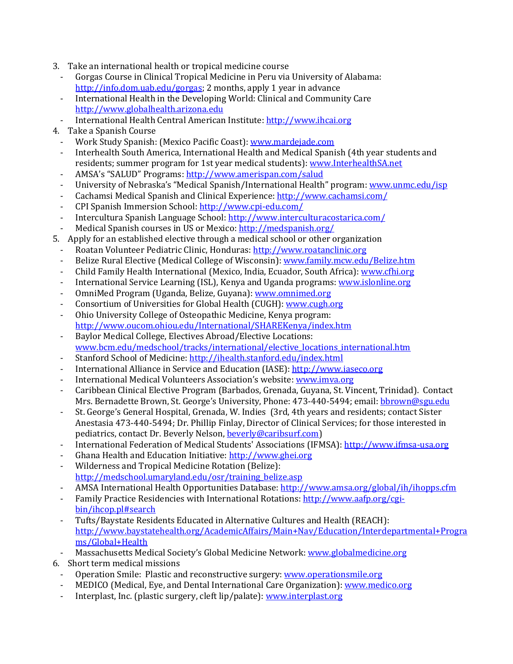- 3. Take an international health or tropical medicine course
	- Gorgas Course in Clinical Tropical Medicine in Peru via University of Alabama: [http://info.dom.uab.edu/gorgas;](http://info.dom.uab.edu/gorgas) 2 months, apply 1 year in advance
	- International Health in the Developing World: Clinical and Community Care [http://www.globalhealth.arizona.edu](http://www.globalhealth.arizona.edu/)
- International Health Central American Institute: [http://www.ihcai.org](http://www.ihcai.org/)
- 4. Take a Spanish Course
	- Work Study Spanish: (Mexico Pacific Coast): [www.mardejade.com](http://www.mardejade.com/)
	- Interhealth South America, International Health and Medical Spanish (4th year students and residents; summer program for 1st year medical students)[: www.InterhealthSA.net](http://www.interhealthsa.net/)
	- AMSA's "SALUD" Programs: <http://www.amerispan.com/salud>
	- University of Nebraska's "Medical Spanish/International Health" program: [www.unmc.edu/isp](http://www.unmc.edu/isp)
	- Cachamsi Medical Spanish and Clinical Experience[: http://www.cachamsi.com/](http://www.cachamsi.com/)
	- CPI Spanish Immersion School:<http://www.cpi-edu.com/>
	- Intercultura Spanish Language School[: http://www.interculturacostarica.com/](http://www.interculturacostarica.com/)
	- Medical Spanish courses in US or Mexico:<http://medspanish.org/>
- 5. Apply for an established elective through a medical school or other organization
	- Roatan Volunteer Pediatric Clinic, Honduras: [http://www.roatanclinic.org](http://www.roatanclinic.org/)
	- Belize Rural Elective (Medical College of Wisconsin)[: www.family.mcw.edu/Belize.htm](http://www.family.mcw.edu/Belize.htm)
	- Child Family Health International (Mexico, India, Ecuador, South Africa): [www.cfhi.org](http://www.cfhi.org/)
	- International Service Learning (ISL), Kenya and Uganda programs: [www.islonline.org](http://www.islonline.org/)
	- OmniMed Program (Uganda, Belize, Guyana)[: www.omnimed.org](http://www.omnimed.org/)
	- Consortium of Universities for Global Health (CUGH): [www.cugh.org](http://www.cugh.org/)
	- Ohio University College of Osteopathic Medicine, Kenya program: <http://www.oucom.ohiou.edu/International/SHAREKenya/index.htm>
	- Baylor Medical College, Electives Abroad/Elective Locations: [www.bcm.edu/medschool/tracks/international/elective\\_locations\\_international.htm](http://www.bcm.edu/medschool/tracks/international/elective_locations_international.htm)
	- Stanford School of Medicine:<http://ihealth.stanford.edu/index.html>
	- International Alliance in Service and Education (IASE)[: http://www.iaseco.org](http://www.iaseco.org/)
	- International Medical Volunteers Association's website: [www.imva.org](http://www.imva.org/)
	- Caribbean Clinical Elective Program (Barbados, Grenada, Guyana, St. Vincent, Trinidad). Contact Mrs. Bernadette Brown, St. George's University, Phone: 473-440-5494; email: [bbrown@sgu.edu](mailto:bbrown@sgu.edu)
	- St. George's General Hospital, Grenada, W. Indies (3rd, 4th years and residents; contact Sister Anestasia 473-440-5494; Dr. Phillip Finlay, Director of Clinical Services; for those interested in pediatrics, contact Dr. Beverly Nelson[, beverly@caribsurf.com\)](mailto:beverly@caribsurf.com)
	- International Federation of Medical Students' Associations (IFMSA): [http://www.ifmsa-usa.org](http://www.ifmsa-usa.org/)
	- Ghana Health and Education Initiative[: http://www.ghei.org](http://www.ghei.org/)
	- Wilderness and Tropical Medicine Rotation (Belize): [http://medschool.umaryland.edu/osr/training\\_belize.asp](http://medschool.umaryland.edu/osr/training_belize.asp)
	- AMSA International Health Opportunities Database:<http://www.amsa.org/global/ih/ihopps.cfm>
	- Family Practice Residencies with International Rotations[: http://www.aafp.org/cgi](http://www.aafp.org/cgi-bin/ihcop.pl#search)[bin/ihcop.pl#search](http://www.aafp.org/cgi-bin/ihcop.pl#search)
	- Tufts/Baystate Residents Educated in Alternative Cultures and Health (REACH): [http://www.baystatehealth.org/AcademicAffairs/Main+Nav/Education/Interdepartmental+Progra](http://www.baystatehealth.org/AcademicAffairs/Main+Nav/Education/Interdepartmental+Programs/Global+Health) [ms/Global+Health](http://www.baystatehealth.org/AcademicAffairs/Main+Nav/Education/Interdepartmental+Programs/Global+Health)
- Massachusetts Medical Society's Global Medicine Network[: www.globalmedicine.org](http://www.globalmedicine.org/)
- 6. Short term medical missions
	- Operation Smile: Plastic and reconstructive surgery: [www.operationsmile.org](http://www.operationsmile.org/)
	- MEDICO (Medical, Eye, and Dental International Care Organization)[: www.medico.org](http://www.medico.org/)
	- Interplast, Inc. (plastic surgery, cleft lip/palate): www.interplast.org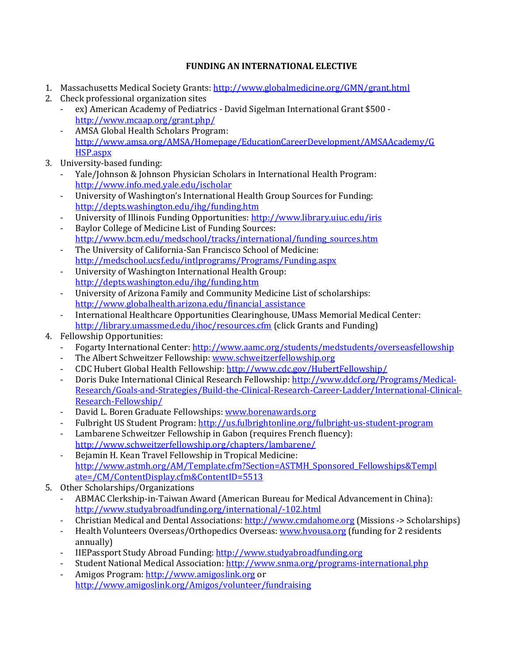### **FUNDING AN INTERNATIONAL ELECTIVE**

- 1. Massachusetts Medical Society Grants:<http://www.globalmedicine.org/GMN/grant.html>
- 2. Check professional organization sites
	- ex) American Academy of Pediatrics David Sigelman International Grant \$500 <http://www.mcaap.org/grant.php/>
	- AMSA Global Health Scholars Program: [http://www.amsa.org/AMSA/Homepage/EducationCareerDevelopment/AMSAAcademy/G](http://www.amsa.org/AMSA/Homepage/EducationCareerDevelopment/AMSAAcademy/GHSP.aspx) [HSP.aspx](http://www.amsa.org/AMSA/Homepage/EducationCareerDevelopment/AMSAAcademy/GHSP.aspx)
- 3. University-based funding:
	- Yale/Johnson & Johnson Physician Scholars in International Health Program: <http://www.info.med.yale.edu/ischolar>
	- University of Washington's International Health Group Sources for Funding: <http://depts.washington.edu/ihg/funding.htm>
	- University of Illinois Funding Opportunities:<http://www.library.uiuc.edu/iris>
	- Baylor College of Medicine List of Funding Sources: [http://www.bcm.edu/medschool/tracks/international/funding\\_sources.htm](http://www.bcm.edu/medschool/tracks/international/funding_sources.htm)
	- The University of California-San Francisco School of Medicine: <http://medschool.ucsf.edu/intlprograms/Programs/Funding.aspx>
	- University of Washington International Health Group: <http://depts.washington.edu/ihg/funding.htm>
	- University of Arizona Family and Community Medicine List of scholarships: [http://www.globalhealth.arizona.edu/financial\\_assistance](http://www.globalhealth.arizona.edu/financial_assistance)
	- International Healthcare Opportunities Clearinghouse, UMass Memorial Medical Center: <http://library.umassmed.edu/ihoc/resources.cfm> (click Grants and Funding)
- 4. Fellowship Opportunities:
	- Fogarty International Center:<http://www.aamc.org/students/medstudents/overseasfellowship>
	- The Albert Schweitzer Fellowship[: www.schweitzerfellowship.org](http://www.schweitzerfellowship.org/)
	- CDC Hubert Global Health Fellowship: <http://www.cdc.gov/HubertFellowship/>
	- Doris Duke International Clinical Research Fellowship[: http://www.ddcf.org/Programs/Medical-](http://www.ddcf.org/Programs/Medical-Research/Goals-and-Strategies/Build-the-Clinical-Research-Career-Ladder/International-Clinical-Research-Fellowship/)[Research/Goals-and-Strategies/Build-the-Clinical-Research-Career-Ladder/International-Clinical-](http://www.ddcf.org/Programs/Medical-Research/Goals-and-Strategies/Build-the-Clinical-Research-Career-Ladder/International-Clinical-Research-Fellowship/)[Research-Fellowship/](http://www.ddcf.org/Programs/Medical-Research/Goals-and-Strategies/Build-the-Clinical-Research-Career-Ladder/International-Clinical-Research-Fellowship/)
	- David L. Boren Graduate Fellowships[: www.borenawards.org](http://www.borenawards.org/)
	- Fulbright US Student Program[: http://us.fulbrightonline.org/fulbright-us-student-program](http://us.fulbrightonline.org/fulbright-us-student-program)
	- Lambarene Schweitzer Fellowship in Gabon (requires French fluency): <http://www.schweitzerfellowship.org/chapters/lambarene/>
	- Bejamin H. Kean Travel Fellowship in Tropical Medicine: [http://www.astmh.org/AM/Template.cfm?Section=ASTMH\\_Sponsored\\_Fellowships&Templ](http://www.astmh.org/AM/Template.cfm?Section=ASTMH_Sponsored_Fellowships&Template=/CM/ContentDisplay.cfm&ContentID=5513) [ate=/CM/ContentDisplay.cfm&ContentID=5513](http://www.astmh.org/AM/Template.cfm?Section=ASTMH_Sponsored_Fellowships&Template=/CM/ContentDisplay.cfm&ContentID=5513)
- 5. Other Scholarships/Organizations
	- ABMAC Clerkship-in-Taiwan Award (American Bureau for Medical Advancement in China): <http://www.studyabroadfunding.org/international/-102.html>
	- Christian Medical and Dental Associations: [http://www.cmdahome.org](http://www.cmdahome.org/) (Missions -> Scholarships)
	- Health Volunteers Overseas/Orthopedics Overseas[: www.hvousa.org](http://www.hvousa.org/) (funding for 2 residents annually)
	- IIEPassport Study Abroad Funding: [http://www.studyabroadfunding.org](http://www.studyabroadfunding.org/)
	- Student National Medical Association:<http://www.snma.org/programs-international.php>
	- Amigos Program: [http://www.amigoslink.org](http://www.amigoslink.org/) or <http://www.amigoslink.org/Amigos/volunteer/fundraising>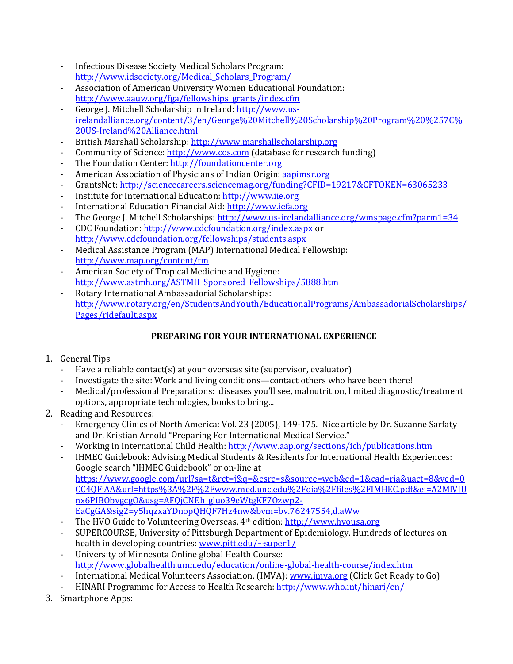- Infectious Disease Society Medical Scholars Program: [http://www.idsociety.org/Medical\\_Scholars\\_Program/](http://www.idsociety.org/Medical_Scholars_Program/)
- Association of American University Women Educational Foundation: [http://www.aauw.org/fga/fellowships\\_grants/index.cfm](http://www.aauw.org/fga/fellowships_grants/index.cfm)
- George J. Mitchell Scholarship in Ireland[: http://www.us](http://www.us-irelandalliance.org/content/3/en/George%20Mitchell%20Scholarship%20Program%20%257C%20US-Ireland%20Alliance.html)[irelandalliance.org/content/3/en/George%20Mitchell%20Scholarship%20Program%20%257C%](http://www.us-irelandalliance.org/content/3/en/George%20Mitchell%20Scholarship%20Program%20%257C%20US-Ireland%20Alliance.html) [20US-Ireland%20Alliance.html](http://www.us-irelandalliance.org/content/3/en/George%20Mitchell%20Scholarship%20Program%20%257C%20US-Ireland%20Alliance.html)
- British Marshall Scholarship: [http://www.marshallscholarship.org](http://www.marshallscholarship.org/)
- Community of Science: [http://www.cos.com](http://www.cos.com/) (database for research funding)
- The Foundation Center[: http://foundationcenter.org](http://foundationcenter.org/)
- American Association of Physicians of Indian Origin[: aapimsr.org](mailto:aapimsr@.org)
- GrantsNet:<http://sciencecareers.sciencemag.org/funding?CFID=19217&CFTOKEN=63065233>
- Institute for International Education: [http://www.iie.org](http://www.iie.org/)
- International Education Financial Aid: [http://www.iefa.org](http://www.iefa.org/)
- The George J. Mitchell Scholarships[: http://www.us-irelandalliance.org/wmspage.cfm?parm1=34](http://www.us-irelandalliance.org/wmspage.cfm?parm1=34)
- CDC Foundation[: http://www.cdcfoundation.org/index.aspx](http://www.cdcfoundation.org/index.aspx) or <http://www.cdcfoundation.org/fellowships/students.aspx>
- Medical Assistance Program (MAP) International Medical Fellowship: <http://www.map.org/content/tm>
- American Society of Tropical Medicine and Hygiene: [http://www.astmh.org/ASTMH\\_Sponsored\\_Fellowships/5888.htm](http://www.astmh.org/ASTMH_Sponsored_Fellowships/5888.htm)
- Rotary International Ambassadorial Scholarships: [http://www.rotary.org/en/StudentsAndYouth/EducationalPrograms/AmbassadorialScholarships/](http://www.rotary.org/en/StudentsAndYouth/EducationalPrograms/AmbassadorialScholarships/Pages/ridefault.aspx) [Pages/ridefault.aspx](http://www.rotary.org/en/StudentsAndYouth/EducationalPrograms/AmbassadorialScholarships/Pages/ridefault.aspx)

# **PREPARING FOR YOUR INTERNATIONAL EXPERIENCE**

## 1. General Tips

- Have a reliable contact(s) at your overseas site (supervisor, evaluator)
- Investigate the site: Work and living conditions—contact others who have been there!
- Medical/professional Preparations: diseases you'll see, malnutrition, limited diagnostic/treatment options, appropriate technologies, books to bring...
- 2. Reading and Resources:
	- Emergency Clinics of North America: Vol. 23 (2005), 149-175. Nice article by Dr. Suzanne Sarfaty and Dr. Kristian Arnold "Preparing For International Medical Service."
	- Working in International Child Health: <http://www.aap.org/sections/ich/publications.htm>
	- IHMEC Guidebook: Advising Medical Students & Residents for International Health Experiences: Google search "IHMEC Guidebook" or on-line at [https://www.google.com/url?sa=t&rct=j&q=&esrc=s&source=web&cd=1&cad=rja&uact=8&ved=0](https://www.google.com/url?sa=t&rct=j&q=&esrc=s&source=web&cd=1&cad=rja&uact=8&ved=0CC4QFjAA&url=https%3A%2F%2Fwww.med.unc.edu%2Foia%2Ffiles%2FIMHEC.pdf&ei=A2MlVJUnx6PIBObvgcgO&usg=AFQjCNEh_gluo39eWtgKF7Ozwp2-EaCgGA&sig2=y5hqzxaYDnopQHQF7Hz4nw&bvm=bv.76247554,d.aWw) [CC4QFjAA&url=https%3A%2F%2Fwww.med.unc.edu%2Foia%2Ffiles%2FIMHEC.pdf&ei=A2MlVJU](https://www.google.com/url?sa=t&rct=j&q=&esrc=s&source=web&cd=1&cad=rja&uact=8&ved=0CC4QFjAA&url=https%3A%2F%2Fwww.med.unc.edu%2Foia%2Ffiles%2FIMHEC.pdf&ei=A2MlVJUnx6PIBObvgcgO&usg=AFQjCNEh_gluo39eWtgKF7Ozwp2-EaCgGA&sig2=y5hqzxaYDnopQHQF7Hz4nw&bvm=bv.76247554,d.aWw) [nx6PIBObvgcgO&usg=AFQjCNEh\\_gluo39eWtgKF7Ozwp2-](https://www.google.com/url?sa=t&rct=j&q=&esrc=s&source=web&cd=1&cad=rja&uact=8&ved=0CC4QFjAA&url=https%3A%2F%2Fwww.med.unc.edu%2Foia%2Ffiles%2FIMHEC.pdf&ei=A2MlVJUnx6PIBObvgcgO&usg=AFQjCNEh_gluo39eWtgKF7Ozwp2-EaCgGA&sig2=y5hqzxaYDnopQHQF7Hz4nw&bvm=bv.76247554,d.aWw) [EaCgGA&sig2=y5hqzxaYDnopQHQF7Hz4nw&bvm=bv.76247554,d.aWw](https://www.google.com/url?sa=t&rct=j&q=&esrc=s&source=web&cd=1&cad=rja&uact=8&ved=0CC4QFjAA&url=https%3A%2F%2Fwww.med.unc.edu%2Foia%2Ffiles%2FIMHEC.pdf&ei=A2MlVJUnx6PIBObvgcgO&usg=AFQjCNEh_gluo39eWtgKF7Ozwp2-EaCgGA&sig2=y5hqzxaYDnopQHQF7Hz4nw&bvm=bv.76247554,d.aWw)
	- The HVO Guide to Volunteering Overseas, 4<sup>th</sup> edition[: http://www.hvousa.org](http://www.hvousa.org/)
	- SUPERCOURSE, University of Pittsburgh Department of Epidemiology. Hundreds of lectures on health in developing countries[: www.pitt.edu/~super1/](http://www.pitt.edu/~super1/)
	- University of Minnesota Online global Health Course: <http://www.globalhealth.umn.edu/education/online-global-health-course/index.htm>
	- International Medical Volunteers Association, (IMVA): [www.imva.org](http://www.imva.org/) (Click Get Ready to Go)
	- HINARI Programme for Access to Health Research: <http://www.who.int/hinari/en/>
- 3. Smartphone Apps: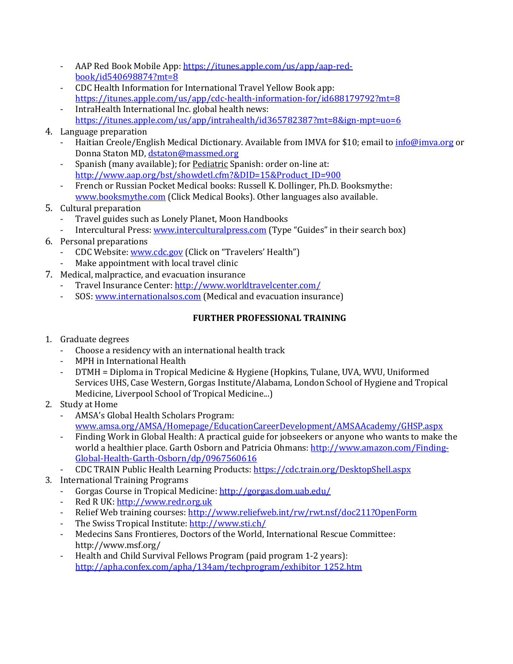- AAP Red Book Mobile App: [https://itunes.apple.com/us/app/aap-red](https://itunes.apple.com/us/app/aap-red-book/id540698874?mt=8)[book/id540698874?mt=8](https://itunes.apple.com/us/app/aap-red-book/id540698874?mt=8)
- CDC Health Information for International Travel Yellow Book app: <https://itunes.apple.com/us/app/cdc-health-information-for/id688179792?mt=8>
- IntraHealth International Inc. global health news: <https://itunes.apple.com/us/app/intrahealth/id365782387?mt=8&ign-mpt=uo=6>
- 4. Language preparation
	- Haitian Creole/English Medical Dictionary. Available from IMVA for \$10; email to *info@imva.org* or Donna Staton MD, [dstaton@massmed.org](mailto:dstaton@massmed.org)
	- Spanish (many available); for Pediatric Spanish: order on-line at: [http://www.aap.org/bst/showdetl.cfm?&DID=15&Product\\_ID=900](http://www.aap.org/bst/showdetl.cfm?&DID=15&Product_ID=900)
	- French or Russian Pocket Medical books: Russell K. Dollinger, Ph.D. Booksmythe: [www.booksmythe.com](http://www.booksmythe.com/) (Click Medical Books). Other languages also available.
- 5. Cultural preparation
	- Travel guides such as Lonely Planet, Moon Handbooks
	- Intercultural Press[: www.interculturalpress.com](http://www.interculturalpress.com/) (Type "Guides" in their search box)
- 6. Personal preparations
	- CDC Website: [www.cdc.gov](http://www.cdc.gov/) (Click on "Travelers' Health")
	- Make appointment with local travel clinic
- 7. Medical, malpractice, and evacuation insurance
	- Travel Insurance Center: http://www.worldtravelcenter.com/
	- SOS: [www.internationalsos.com](http://www.internationalsos.com/) (Medical and evacuation insurance)

## **FURTHER PROFESSIONAL TRAINING**

- 1. Graduate degrees
	- Choose a residency with an international health track
	- MPH in International Health
	- DTMH = Diploma in Tropical Medicine & Hygiene (Hopkins, Tulane, UVA, WVU, Uniformed Services UHS, Case Western, Gorgas Institute/Alabama, London School of Hygiene and Tropical Medicine, Liverpool School of Tropical Medicine...)
- 2. Study at Home
	- AMSA's Global Health Scholars Program: [www.amsa.org/AMSA/Homepage/EducationCareerDevelopment/AMSAAcademy/GHSP.aspx](http://www.amsa.org/AMSA/Homepage/EducationCareerDevelopment/AMSAAcademy/GHSP.aspx)
	- Finding Work in Global Health: A practical guide for jobseekers or anyone who wants to make the world a healthier place. Garth Osborn and Patricia Ohmans: [http://www.amazon.com/Finding-](http://www.amazon.com/Finding-Global-Health-Garth-Osborn/dp/0967560616)[Global-Health-Garth-Osborn/dp/0967560616](http://www.amazon.com/Finding-Global-Health-Garth-Osborn/dp/0967560616)
	- CDC TRAIN Public Health Learning Products[: https://cdc.train.org/DesktopShell.aspx](https://cdc.train.org/DesktopShell.aspx)
- 3. International Training Programs
	- Gorgas Course in Tropical Medicine: <http://gorgas.dom.uab.edu/>
	- Red R UK: [http://www.redr.org.uk](http://www.redr.org.uk/)
	- Relief Web training courses[: http://www.reliefweb.int/rw/rwt.nsf/doc211?OpenForm](http://www.reliefweb.int/rw/rwt.nsf/doc211?OpenForm)
	- The Swiss Tropical Institute: <http://www.sti.ch/>
	- Medecins Sans Frontieres, Doctors of the World, International Rescue Committee: http://www.msf.org/
	- Health and Child Survival Fellows Program (paid program 1-2 years): [http://apha.confex.com/apha/134am/techprogram/exhibitor\\_1252.htm](http://apha.confex.com/apha/134am/techprogram/exhibitor_1252.htm)